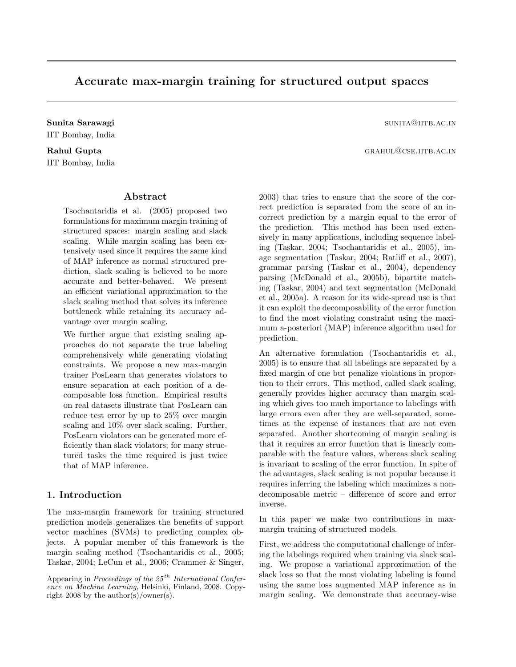## Accurate max-margin training for structured output spaces

Sunita Sarawagi sunita Sarawagi sunita Sarawagi sunita Sarawagi sunita Sarawagi sunita Sarawagi sunita Sarawagi sunita Sarawagi sunita Sarawagi sunita Sarawagi sunita Sarawagi sunita Sarawagi sunita Sarawagi sunita Sarawag IIT Bombay, India

# IIT Bombay, India

## Abstract

Tsochantaridis et al. (2005) proposed two formulations for maximum margin training of structured spaces: margin scaling and slack scaling. While margin scaling has been extensively used since it requires the same kind of MAP inference as normal structured prediction, slack scaling is believed to be more accurate and better-behaved. We present an efficient variational approximation to the slack scaling method that solves its inference bottleneck while retaining its accuracy advantage over margin scaling.

We further argue that existing scaling approaches do not separate the true labeling comprehensively while generating violating constraints. We propose a new max-margin trainer PosLearn that generates violators to ensure separation at each position of a decomposable loss function. Empirical results on real datasets illustrate that PosLearn can reduce test error by up to 25% over margin scaling and 10% over slack scaling. Further, PosLearn violators can be generated more efficiently than slack violators; for many structured tasks the time required is just twice that of MAP inference.

## 1. Introduction

The max-margin framework for training structured prediction models generalizes the benefits of support vector machines (SVMs) to predicting complex objects. A popular member of this framework is the margin scaling method (Tsochantaridis et al., 2005; Taskar, 2004; LeCun et al., 2006; Crammer & Singer,

Rahul Gupta grahul Gupta grahul Gupta grahul Gupta grahul Gupta grahul Gupta grahul Gupta grahul Gupta grahul

2003) that tries to ensure that the score of the correct prediction is separated from the score of an incorrect prediction by a margin equal to the error of the prediction. This method has been used extensively in many applications, including sequence labeling (Taskar, 2004; Tsochantaridis et al., 2005), image segmentation (Taskar, 2004; Ratliff et al., 2007), grammar parsing (Taskar et al., 2004), dependency parsing (McDonald et al., 2005b), bipartite matching (Taskar, 2004) and text segmentation (McDonald et al., 2005a). A reason for its wide-spread use is that it can exploit the decomposability of the error function to find the most violating constraint using the maximum a-posteriori (MAP) inference algorithm used for prediction.

An alternative formulation (Tsochantaridis et al., 2005) is to ensure that all labelings are separated by a fixed margin of one but penalize violations in proportion to their errors. This method, called slack scaling, generally provides higher accuracy than margin scaling which gives too much importance to labelings with large errors even after they are well-separated, sometimes at the expense of instances that are not even separated. Another shortcoming of margin scaling is that it requires an error function that is linearly comparable with the feature values, whereas slack scaling is invariant to scaling of the error function. In spite of the advantages, slack scaling is not popular because it requires inferring the labeling which maximizes a nondecomposable metric – difference of score and error inverse.

In this paper we make two contributions in maxmargin training of structured models.

First, we address the computational challenge of infering the labelings required when training via slack scaling. We propose a variational approximation of the slack loss so that the most violating labeling is found using the same loss augmented MAP inference as in margin scaling. We demonstrate that accuracy-wise

Appearing in Proceedings of the  $25<sup>th</sup> International Confer$ ence on Machine Learning, Helsinki, Finland, 2008. Copyright 2008 by the author(s)/owner(s).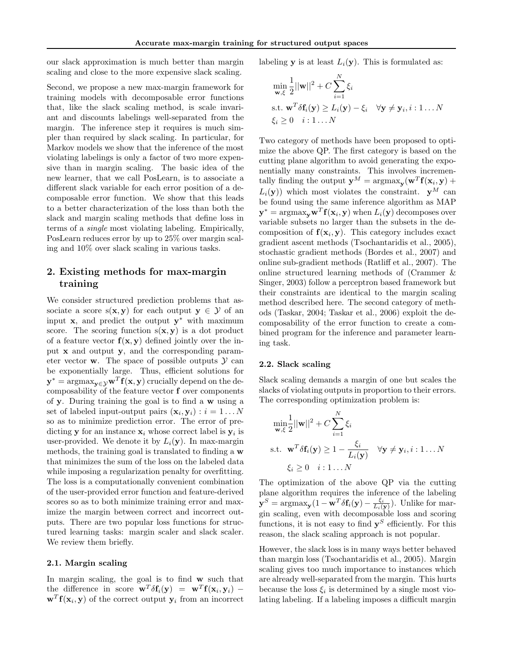our slack approximation is much better than margin scaling and close to the more expensive slack scaling.

Second, we propose a new max-margin framework for training models with decomposable error functions that, like the slack scaling method, is scale invariant and discounts labelings well-separated from the margin. The inference step it requires is much simpler than required by slack scaling. In particular, for Markov models we show that the inference of the most violating labelings is only a factor of two more expensive than in margin scaling. The basic idea of the new learner, that we call PosLearn, is to associate a different slack variable for each error position of a decomposable error function. We show that this leads to a better characterization of the loss than both the slack and margin scaling methods that define loss in terms of a single most violating labeling. Empirically, PosLearn reduces error by up to 25% over margin scaling and 10% over slack scaling in various tasks.

## 2. Existing methods for max-margin training

We consider structured prediction problems that associate a score  $s(x, y)$  for each output  $y \in \mathcal{Y}$  of an input  $\mathbf{x}$ , and predict the output  $\mathbf{y}^*$  with maximum score. The scoring function  $s(x, y)$  is a dot product of a feature vector  $f(x, y)$  defined jointly over the input x and output y, and the corresponding parameter vector **w**. The space of possible outputs  $\mathcal{Y}$  can be exponentially large. Thus, efficient solutions for  $\mathbf{y}^* = \mathrm{argmax}_{\mathbf{y} \in \mathcal{Y}} \mathbf{w}^T \mathbf{f}(\mathbf{x}, \mathbf{y})$  crucially depend on the decomposability of the feature vector f over components of y. During training the goal is to find a w using a set of labeled input-output pairs  $(\mathbf{x}_i, \mathbf{y}_i) : i = 1...N$ so as to minimize prediction error. The error of predicting **y** for an instance  $x_i$  whose correct label is  $y_i$  is user-provided. We denote it by  $L_i(\mathbf{y})$ . In max-margin methods, the training goal is translated to finding a w that minimizes the sum of the loss on the labeled data while imposing a regularization penalty for overfitting. The loss is a computationally convenient combination of the user-provided error function and feature-derived scores so as to both minimize training error and maximize the margin between correct and incorrect outputs. There are two popular loss functions for structured learning tasks: margin scaler and slack scaler. We review them briefly.

## 2.1. Margin scaling

In margin scaling, the goal is to find w such that the difference in score  $\mathbf{w}^T \delta \mathbf{f}_i(\mathbf{y}) = \mathbf{w}^T \mathbf{f}(\mathbf{x}_i, \mathbf{y}_i)$  –  $\mathbf{w}^T \mathbf{f}(\mathbf{x}_i, \mathbf{y})$  of the correct output  $\mathbf{y}_i$  from an incorrect labeling **y** is at least  $L_i(\mathbf{y})$ . This is formulated as:

$$
\min_{\mathbf{w}, \xi} \frac{1}{2} ||\mathbf{w}||^2 + C \sum_{i=1}^N \xi_i
$$
  
s.t.  $\mathbf{w}^T \delta \mathbf{f}_i(\mathbf{y}) \ge L_i(\mathbf{y}) - \xi_i \quad \forall \mathbf{y} \ne \mathbf{y}_i, i : 1 \dots N$   
 $\xi_i \ge 0 \quad i : 1 \dots N$ 

Two category of methods have been proposed to optimize the above QP. The first category is based on the cutting plane algorithm to avoid generating the exponentially many constraints. This involves incrementally finding the output  $\mathbf{y}^M = \operatorname{argmax}_{\mathbf{y}}(\mathbf{w}^T \mathbf{f}(\mathbf{x}_i, \mathbf{y}) +$  $L_i(\mathbf{y})$  which most violates the constraint.  $\mathbf{y}^M$  can be found using the same inference algorithm as MAP  $\mathbf{y}^* = \arg\!\max_{\mathbf{y}} \mathbf{w}^T \mathbf{f}(\mathbf{x}_i, \mathbf{y})$  when  $L_i(\mathbf{y})$  decomposes over variable subsets no larger than the subsets in the decomposition of  $f(x_i, y)$ . This category includes exact gradient ascent methods (Tsochantaridis et al., 2005), stochastic gradient methods (Bordes et al., 2007) and online sub-gradient methods (Ratliff et al., 2007). The online structured learning methods of (Crammer & Singer, 2003) follow a perceptron based framework but their constraints are identical to the margin scaling method described here. The second category of methods (Taskar, 2004; Taskar et al., 2006) exploit the decomposability of the error function to create a combined program for the inference and parameter learning task.

#### <span id="page-1-0"></span>2.2. Slack scaling

Slack scaling demands a margin of one but scales the slacks of violating outputs in proportion to their errors. The corresponding optimization problem is:

$$
\min_{\mathbf{w}, \xi} \frac{1}{2} ||\mathbf{w}||^2 + C \sum_{i=1}^N \xi_i
$$
  
s.t. 
$$
\mathbf{w}^T \delta \mathbf{f}_i(\mathbf{y}) \ge 1 - \frac{\xi_i}{L_i(\mathbf{y})} \quad \forall \mathbf{y} \ne \mathbf{y}_i, i : 1...N
$$

$$
\xi_i \ge 0 \quad i: 1...N
$$

The optimization of the above QP via the cutting plane algorithm requires the inference of the labeling  $\mathbf{y}^S = \arg \max_{\mathbf{y}} (1 - \mathbf{w}^T \delta \mathbf{f}_i(\mathbf{y}) - \frac{\xi_i}{L_i(\mathbf{y})})$ . Unlike for margin scaling, even with decomposable loss and scoring functions, it is not easy to find  $y^S$  efficiently. For this reason, the slack scaling approach is not popular.

However, the slack loss is in many ways better behaved than margin loss (Tsochantaridis et al., 2005). Margin scaling gives too much importance to instances which are already well-separated from the margin. This hurts because the loss  $\xi_i$  is determined by a single most violating labeling. If a labeling imposes a difficult margin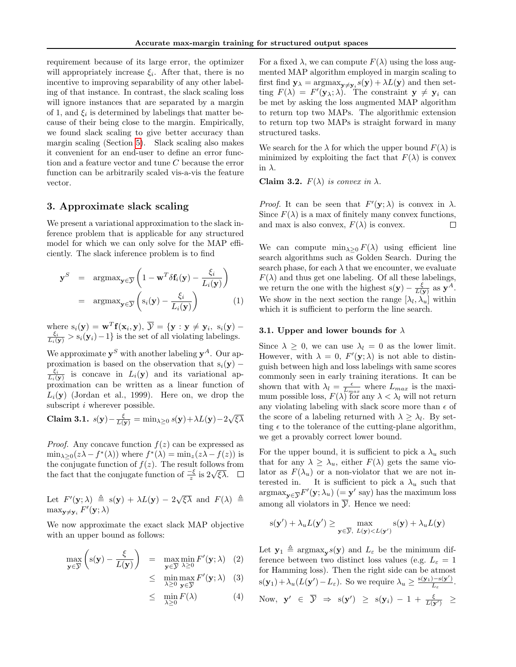requirement because of its large error, the optimizer will appropriately increase  $\xi_i$ . After that, there is no incentive to improving separability of any other labeling of that instance. In contrast, the slack scaling loss will ignore instances that are separated by a margin of 1, and  $\xi_i$  is determined by labelings that matter because of their being close to the margin. Empirically, we found slack scaling to give better accuracy than margin scaling (Section [5\)](#page-5-0). Slack scaling also makes it convenient for an end-user to define an error function and a feature vector and tune C because the error function can be arbitrarily scaled vis-a-vis the feature vector.

## 3. Approximate slack scaling

We present a variational approximation to the slack inference problem that is applicable for any structured model for which we can only solve for the MAP efficiently. The slack inference problem is to find

$$
\mathbf{y}^{S} = \operatorname{argmax}_{\mathbf{y} \in \overline{\mathcal{Y}}} \left( 1 - \mathbf{w}^{T} \delta \mathbf{f}_{i}(\mathbf{y}) - \frac{\xi_{i}}{L_{i}(\mathbf{y})} \right)
$$

$$
= \operatorname{argmax}_{\mathbf{y} \in \overline{\mathcal{Y}}} \left( s_{i}(\mathbf{y}) - \frac{\xi_{i}}{L_{i}(\mathbf{y})} \right) \qquad (1)
$$

where  $s_i(\mathbf{y}) = \mathbf{w}^T \mathbf{f}(\mathbf{x}_i, \mathbf{y}), \overline{\mathcal{Y}} = {\mathbf{y} : \mathbf{y} \neq \mathbf{y}_i, s_i(\mathbf{y}) - \frac{\xi_i}{L_i(\mathbf{y})} > s_i(\mathbf{y}_i) - 1}$  is the set of all violating labelings.

We approximate  $y^S$  with another labeling  $y^A$ . Our approximation is based on the observation that  $s_i(y)$  –  $\frac{\xi_i}{L_i(\mathbf{y})}$  is concave in  $L_i(\mathbf{y})$  and its variational approximation can be written as a linear function of  $L_i(\mathbf{y})$  (Jordan et al., 1999). Here on, we drop the subscript *i* wherever possible.

**Claim 3.1.** 
$$
s(\mathbf{y}) - \frac{\xi}{L(\mathbf{y})} = \min_{\lambda \geq 0} s(\mathbf{y}) + \lambda L(\mathbf{y}) - 2\sqrt{\xi \lambda}
$$

*Proof.* Any concave function  $f(z)$  can be expressed as  $\min_{\lambda \geq 0} (z\lambda - f^*(\lambda))$  where  $f^*(\lambda) = \min_z (z\lambda - f(z))$  is the conjugate function of  $f(z)$ . The result follows from the fact that the conjugate function of  $\frac{-\xi}{z}$  is  $2\sqrt{\xi\lambda}$ .

Let  $F'(\mathbf{y}; \lambda) \triangleq s(\mathbf{y}) + \lambda L(\mathbf{y}) - 2\sqrt{\xi \lambda}$  and  $F(\lambda) \triangleq$  $\max_{\mathbf{y} \neq \mathbf{y}_i} F'(\mathbf{y}; \lambda)$ 

We now approximate the exact slack MAP objective with an upper bound as follows:

$$
\max_{\mathbf{y}\in\overline{\mathcal{Y}}}\left(s(\mathbf{y})-\frac{\xi}{L(\mathbf{y})}\right) = \max_{\mathbf{y}\in\overline{\mathcal{Y}}}\min_{\lambda\geq 0} F'(\mathbf{y};\lambda)
$$
 (2)

$$
\leq \min_{\lambda \geq 0} \max_{\mathbf{y} \in \overline{\mathcal{Y}}} F'(\mathbf{y}; \lambda) \quad (3)
$$

$$
\leq \quad \min_{\lambda \geq 0} F(\lambda) \tag{4}
$$

For a fixed  $\lambda$ , we can compute  $F(\lambda)$  using the loss augmented MAP algorithm employed in margin scaling to first find  $y_{\lambda} = \text{argmax}_{y \neq y_i} s(y) + \lambda L(y)$  and then setting  $F(\lambda) = F'(\mathbf{y}_{\lambda}; \lambda)$ . The constraint  $\mathbf{y} \neq \mathbf{y}_i$  can be met by asking the loss augmented MAP algorithm to return top two MAPs. The algorithmic extension to return top two MAPs is straight forward in many structured tasks.

We search for the  $\lambda$  for which the upper bound  $F(\lambda)$  is minimized by exploiting the fact that  $F(\lambda)$  is convex in  $\lambda$ .

Claim 3.2.  $F(\lambda)$  is convex in  $\lambda$ .

*Proof.* It can be seen that  $F'(\mathbf{y}; \lambda)$  is convex in  $\lambda$ . Since  $F(\lambda)$  is a max of finitely many convex functions, and max is also convex,  $F(\lambda)$  is convex.  $\Box$ 

We can compute  $\min_{\lambda>0} F(\lambda)$  using efficient line search algorithms such as Golden Search. During the search phase, for each  $\lambda$  that we encounter, we evaluate  $F(\lambda)$  and thus get one labeling. Of all these labelings, we return the one with the highest  $s(y) - \frac{\xi}{L(y)}$  as  $y^A$ . We show in the next section the range  $[\lambda_l, \lambda_u]$  within which it is sufficient to perform the line search.

#### 3.1. Upper and lower bounds for  $\lambda$

Since  $\lambda \geq 0$ , we can use  $\lambda_l = 0$  as the lower limit. However, with  $\lambda = 0$ ,  $F'(\mathbf{y}; \lambda)$  is not able to distinguish between high and loss labelings with same scores commonly seen in early training iterations. It can be shown that with  $\lambda_l = \frac{\epsilon}{L_{max}}$  where  $L_{max}$  is the maximum possible loss,  $F(\lambda)$  for any  $\lambda < \lambda_l$  will not return any violating labeling with slack score more than  $\epsilon$  of the score of a labeling returned with  $\lambda \geq \lambda_l$ . By setting  $\epsilon$  to the tolerance of the cutting-plane algorithm, we get a provably correct lower bound.

For the upper bound, it is sufficient to pick a  $\lambda_u$  such that for any  $\lambda \geq \lambda_u$ , either  $F(\lambda)$  gets the same violator as  $F(\lambda_u)$  or a non-violator that we are not interested in. It is sufficient to pick a  $\lambda_u$  such that  $\operatorname{argmax}_{\mathbf{y}\in\overline{\mathcal{Y}}}F'(\mathbf{y};\lambda_u)$   $(=\mathbf{y}'\text{ say})$  has the maximum loss among all violators in  $\overline{y}$ . Hence we need:

$$
s(\mathbf{y}') + \lambda_u L(\mathbf{y}') \ge \max_{\mathbf{y} \in \overline{\mathcal{Y}}, L(\mathbf{y}) < L(\mathbf{y}')} s(\mathbf{y}) + \lambda_u L(\mathbf{y})
$$

Let  $\mathbf{y}_1 \triangleq \arg\max_{\mathbf{y}} s(\mathbf{y})$  and  $L_{\varepsilon}$  be the minimum difference between two distinct loss values (e.g.  $L_{\varepsilon} = 1$ for Hamming loss). Then the right side can be atmost  $s(\mathbf{y}_1) + \lambda_u(L(\mathbf{y}') - L_{\varepsilon})$ . So we require  $\lambda_u \geq \frac{s(\mathbf{y}_1) - s(\mathbf{y}')}{L_{\varepsilon}}$  $\frac{1-\mathrm{s}(\mathbf{y}_\perp)}{L_\varepsilon}$  . Now,  $\mathbf{y}' \in \overline{\mathcal{Y}} \Rightarrow \mathbf{s}(\mathbf{y}') \geq \mathbf{s}(\mathbf{y}_i) - 1 + \frac{\xi}{L(\mathbf{y}')} \geq$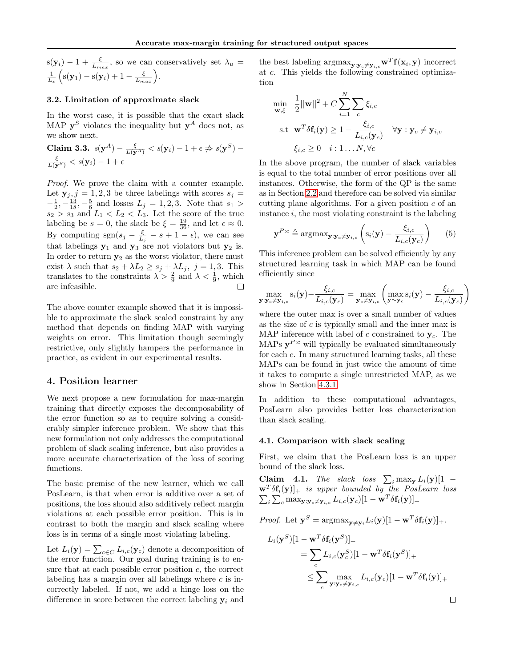$s(\mathbf{y}_i) - 1 + \frac{\xi}{L_{max}}$ , so we can conservatively set  $\lambda_u =$  $\frac{1}{L_{\varepsilon}}\left(s(\mathbf{y}_1)-s(\mathbf{y}_i)+1-\frac{\xi}{L_{max}}\right).$ 

#### 3.2. Limitation of approximate slack

In the worst case, it is possible that the exact slack MAP  $y^S$  violates the inequality but  $y^A$  does not, as we show next.

**Claim 3.3.** 
$$
s(\mathbf{y}^A) - \frac{\xi}{L(\mathbf{y}^A)} < s(\mathbf{y}_i) - 1 + \epsilon \nRightarrow s(\mathbf{y}^S) - \frac{\xi}{L(\mathbf{y}^S)} < s(\mathbf{y}_i) - 1 + \epsilon
$$

Proof. We prove the claim with a counter example. Let  $y_j$ ,  $j = 1, 2, 3$  be three labelings with scores  $s_j =$  $-\frac{1}{2}, -\frac{13}{18}, -\frac{5}{6}$  and losses  $L_j = 1, 2, 3$ . Note that  $s_1 >$  $s_2 > s_3$  and  $L_1 < L_2 < L_3$ . Let the score of the true labeling be  $s = 0$ , the slack be  $\xi = \frac{19}{36}$ , and let  $\epsilon \approx 0$ . By computing  $sgn(s_j - \frac{\xi}{L_j} - s + 1 - \epsilon)$ , we can see that labelings  $y_1$  and  $y_3$  are not violators but  $y_2$  is. In order to return  $y_2$  as the worst violator, there must exist  $\lambda$  such that  $s_2 + \lambda L_2 \geq s_j + \lambda L_j$ ,  $j = 1, 3$ . This translates to the constraints  $\lambda > \frac{2}{9}$  and  $\lambda < \frac{1}{9}$ , which are infeasible. П

The above counter example showed that it is impossible to approximate the slack scaled constraint by any method that depends on finding MAP with varying weights on error. This limitation though seemingly restrictive, only slightly hampers the performance in practice, as evident in our experimental results.

## 4. Position learner

We next propose a new formulation for max-margin training that directly exposes the decomposability of the error function so as to require solving a considerably simpler inference problem. We show that this new formulation not only addresses the computational problem of slack scaling inference, but also provides a more accurate characterization of the loss of scoring functions.

The basic premise of the new learner, which we call PosLearn, is that when error is additive over a set of positions, the loss should also additively reflect margin violations at each possible error position. This is in contrast to both the margin and slack scaling where loss is in terms of a single most violating labeling.

Let  $L_i(\mathbf{y}) = \sum_{c \in C} L_{i,c}(\mathbf{y}_c)$  denote a decomposition of the error function. Our goal during training is to ensure that at each possible error position  $c$ , the correct labeling has a margin over all labelings where  $c$  is incorrectly labeled. If not, we add a hinge loss on the difference in score between the correct labeling  $y_i$  and

the best labeling  $\arg\max_{\mathbf{y}: \mathbf{y}_c \neq \mathbf{y}_{i,c}} \mathbf{w}^T \mathbf{f}(\mathbf{x}_i, \mathbf{y})$  incorrect at c. This yields the following constrained optimization

$$
\min_{\mathbf{w}, \xi} \quad \frac{1}{2} ||\mathbf{w}||^2 + C \sum_{i=1}^N \sum_c \xi_{i,c}
$$
\n
$$
\text{s.t } \mathbf{w}^T \delta \mathbf{f}_i(\mathbf{y}) \ge 1 - \frac{\xi_{i,c}}{L_{i,c}(\mathbf{y}_c)} \quad \forall \mathbf{y} : \mathbf{y}_c \ne \mathbf{y}_{i,c}
$$
\n
$$
\xi_{i,c} \ge 0 \quad i: 1 \dots N, \forall c
$$

In the above program, the number of slack variables is equal to the total number of error positions over all instances. Otherwise, the form of the QP is the same as in Section [2.2](#page-1-0) and therefore can be solved via similar cutting plane algorithms. For a given position  $c$  of an instance  $i$ , the most violating constraint is the labeling

$$
\mathbf{y}^{P:c} \triangleq \operatorname{argmax}_{\mathbf{y}:\mathbf{y}_c \neq \mathbf{y}_{i,c}} \left( \mathbf{s}_i(\mathbf{y}) - \frac{\xi_{i,c}}{L_{i,c}(\mathbf{y}_c)} \right) \tag{5}
$$

This inference problem can be solved efficiently by any structured learning task in which MAP can be found efficiently since

$$
\max_{\mathbf{y}: \mathbf{y}_c \neq \mathbf{y}_{i,c}} s_i(\mathbf{y}) - \frac{\xi_{i,c}}{L_{i,c}(\mathbf{y}_c)} = \max_{\mathbf{y}_c \neq \mathbf{y}_{i,c}} \left( \max_{\mathbf{y} \sim \mathbf{y}_c} s_i(\mathbf{y}) - \frac{\xi_{i,c}}{L_{i,c}(\mathbf{y}_c)} \right)
$$

where the outer max is over a small number of values as the size of  $c$  is typically small and the inner max is MAP inference with label of c constrained to  $y_c$ . The MAPs  $y^{P:c}$  will typically be evaluated simultaneously for each c. In many structured learning tasks, all these MAPs can be found in just twice the amount of time it takes to compute a single unrestricted MAP, as we show in Section [4.3.1.](#page-4-0)

In addition to these computational advantages, PosLearn also provides better loss characterization than slack scaling.

#### 4.1. Comparison with slack scaling

First, we claim that the PosLearn loss is an upper bound of the slack loss.

**Claim 4.1.** The slack loss  $\sum_i \max_{\mathbf{y}} L_i(\mathbf{y})[1 \mathbf{w}^T \delta \mathbf{f}_i(\mathbf{y})$  is upper bounded by the PosLearn loss  $\sum_i\sum_c \max_{{\mathbf y}: {\mathbf y}_c\neq {\mathbf y}_{i,c}} L_{i,c}({\mathbf y}_c)[1-{\mathbf w}^T\delta {\mathbf f}_i({\mathbf y})]_+$ 

*Proof.* Let 
$$
\mathbf{y}^S = \operatorname{argmax}_{\mathbf{y} \neq \mathbf{y}_i} L_i(\mathbf{y}) [1 - \mathbf{w}^T \delta \mathbf{f}_i(\mathbf{y})]_+.
$$

$$
L_i(\mathbf{y}^S)[1 - \mathbf{w}^T \delta \mathbf{f}_i(\mathbf{y}^S)]_+ = \sum_c L_{i,c}(\mathbf{y}_c^S)[1 - \mathbf{w}^T \delta \mathbf{f}_i(\mathbf{y}^S)]_+ \leq \sum_c \max_{\mathbf{y} : \mathbf{y}_c \neq \mathbf{y}_{i,c}} L_{i,c}(\mathbf{y}_c)[1 - \mathbf{w}^T \delta \mathbf{f}_i(\mathbf{y})]_+
$$

 $\Box$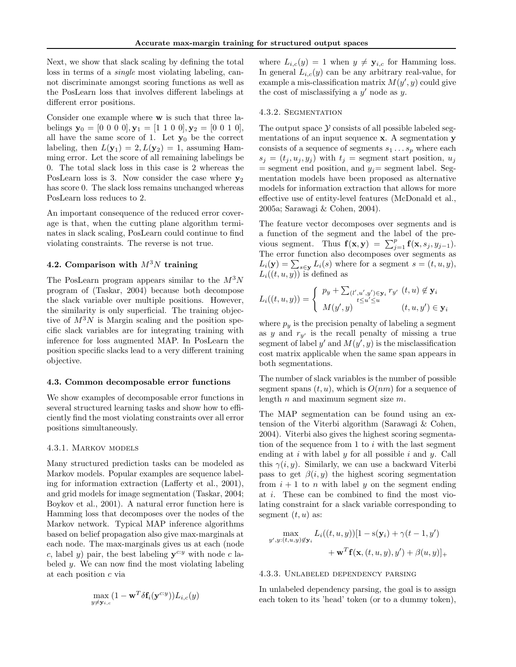Next, we show that slack scaling by defining the total loss in terms of a single most violating labeling, cannot discriminate amongst scoring functions as well as the PosLearn loss that involves different labelings at different error positions.

Consider one example where w is such that three labelings  $y_0 = [0 \ 0 \ 0 \ 0], y_1 = [1 \ 1 \ 0 \ 0], y_2 = [0 \ 0 \ 1 \ 0],$ all have the same score of 1. Let  $y_0$  be the correct labeling, then  $L(\mathbf{y}_1) = 2, L(\mathbf{y}_2) = 1$ , assuming Hamming error. Let the score of all remaining labelings be 0. The total slack loss in this case is 2 whereas the PosLearn loss is 3. Now consider the case where  $y_2$ has score 0. The slack loss remains unchanged whereas PosLearn loss reduces to 2.

An important consequence of the reduced error coverage is that, when the cutting plane algorithm terminates in slack scaling, PosLearn could continue to find violating constraints. The reverse is not true.

## 4.2. Comparison with  $M^3N$  training

The PosLearn program appears similar to the  $M^3N$ program of (Taskar, 2004) because both decompose the slack variable over multiple positions. However, the similarity is only superficial. The training objective of  $M^3N$  is Margin scaling and the position specific slack variables are for integrating training with inference for loss augmented MAP. In PosLearn the position specific slacks lead to a very different training objective.

#### <span id="page-4-1"></span>4.3. Common decomposable error functions

We show examples of decomposable error functions in several structured learning tasks and show how to efficiently find the most violating constraints over all error positions simultaneously.

#### <span id="page-4-0"></span>4.3.1. Markov models

Many structured prediction tasks can be modeled as Markov models. Popular examples are sequence labeling for information extraction (Lafferty et al., 2001), and grid models for image segmentation (Taskar, 2004; Boykov et al., 2001). A natural error function here is Hamming loss that decomposes over the nodes of the Markov network. Typical MAP inference algorithms based on belief propagation also give max-marginals at each node. The max-marginals gives us at each (node c, label y) pair, the best labeling  $y^{c:y}$  with node c labeled y. We can now find the most violating labeling at each position c via

$$
\max_{y \neq \mathbf{y}_{i,c}} (1 - \mathbf{w}^T \delta \mathbf{f}_i(\mathbf{y}^{c:y})) L_{i,c}(y)
$$

where  $L_{i,c}(y) = 1$  when  $y \neq y_{i,c}$  for Hamming loss. In general  $L_{i,c}(y)$  can be any arbitrary real-value, for example a mis-classification matrix  $M(y', y)$  could give the cost of misclassifying a  $y'$  node as  $y$ .

#### 4.3.2. Segmentation

The output space  $\mathcal Y$  consists of all possible labeled segmentations of an input sequence x. A segmentation y consists of a sequence of segments  $s_1 \ldots s_p$  where each  $s_i = (t_i, u_i, y_i)$  with  $t_i$  = segment start position,  $u_i$  $=$  segment end position, and  $y_i=$  segment label. Segmentation models have been proposed as alternative models for information extraction that allows for more effective use of entity-level features (McDonald et al., 2005a; Sarawagi & Cohen, 2004).

The feature vector decomposes over segments and is a function of the segment and the label of the previous segment. Thus  $f(\mathbf{x}, \mathbf{y}) = \sum_{j=1}^{p} f(\mathbf{x}, s_j, y_{j-1}).$ The error function also decomposes over segments as  $L_i(\mathbf{y}) = \sum_{s \in \mathbf{y}} L_i(s)$  where for a segment  $s = (t, u, y)$ ,  $L_i((t, u, y))$  is defined as

$$
L_i((t, u, y)) = \begin{cases} p_y + \sum_{(l', u', y') \in \mathbf{y}_i} r_{y'} \ (t, u) \notin \mathbf{y}_i \\ M(y', y) \end{cases} \quad (t, u, y') \in \mathbf{y}_i
$$

where  $p_y$  is the precision penalty of labeling a segment as y and  $r_{y'}$  is the recall penalty of missing a true segment of label y' and  $M(y', y)$  is the misclassification cost matrix applicable when the same span appears in both segmentations.

The number of slack variables is the number of possible segment spans  $(t, u)$ , which is  $O(nm)$  for a sequence of length  $n$  and maximum segment size  $m$ .

The MAP segmentation can be found using an extension of the Viterbi algorithm (Sarawagi & Cohen, 2004). Viterbi also gives the highest scoring segmentation of the sequence from 1 to  $i$  with the last segment ending at  $i$  with label  $y$  for all possible  $i$  and  $y$ . Call this  $\gamma(i, y)$ . Similarly, we can use a backward Viterbi pass to get  $\beta(i, y)$  the highest scoring segmentation from  $i + 1$  to n with label y on the segment ending at i. These can be combined to find the most violating constraint for a slack variable corresponding to segment  $(t, u)$  as:

$$
\max_{y',y:(t,u,y)\notin\mathbf{y}_i} L_i((t,u,y))[1-\mathrm{s}(\mathbf{y}_i)+\gamma(t-1,y')+\mathbf{w}^T\mathbf{f}(\mathbf{x},(t,u,y),y')+\beta(u,y)]_+
$$

#### 4.3.3. Unlabeled dependency parsing

In unlabeled dependency parsing, the goal is to assign each token to its 'head' token (or to a dummy token),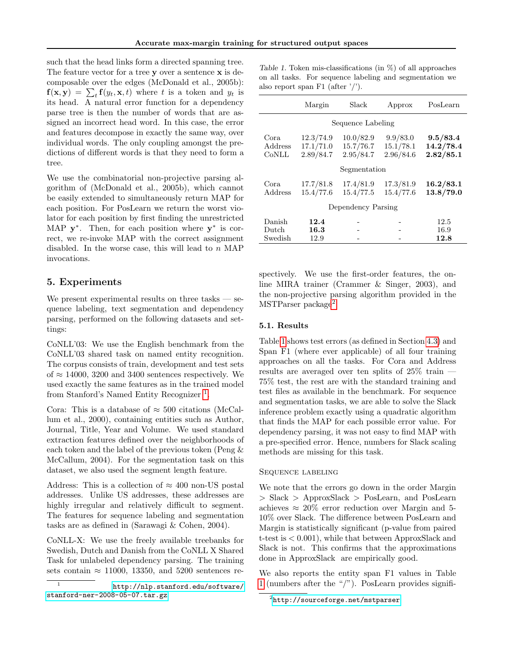such that the head links form a directed spanning tree. The feature vector for a tree y over a sentence x is decomposable over the edges (McDonald et al., 2005b):  $f(\mathbf{x}, \mathbf{y}) = \sum_t f(y_t, \mathbf{x}, t)$  where t is a token and  $y_t$  is its head. A natural error function for a dependency parse tree is then the number of words that are assigned an incorrect head word. In this case, the error and features decompose in exactly the same way, over individual words. The only coupling amongst the predictions of different words is that they need to form a tree.

We use the combinatorial non-projective parsing algorithm of (McDonald et al., 2005b), which cannot be easily extended to simultaneously return MAP for each position. For PosLearn we return the worst violator for each position by first finding the unrestricted MAP  $y^*$ . Then, for each position where  $y^*$  is correct, we re-invoke MAP with the correct assignment disabled. In the worse case, this will lead to n MAP invocations.

## <span id="page-5-0"></span>5. Experiments

We present experimental results on three tasks  $-$  sequence labeling, text segmentation and dependency parsing, performed on the following datasets and settings:

CoNLL'03: We use the English benchmark from the CoNLL'03 shared task on named entity recognition. The corpus consists of train, development and test sets of  $\approx$  14000, 3200 and 3400 sentences respectively. We used exactly the same features as in the trained model from Stanford's Named Entity Recognizer<sup>[1](#page-5-1)</sup>.

Cora: This is a database of  $\approx 500$  citations (McCallum et al., 2000), containing entities such as Author, Journal, Title, Year and Volume. We used standard extraction features defined over the neighborhoods of each token and the label of the previous token (Peng & McCallum, 2004). For the segmentation task on this dataset, we also used the segment length feature.

Address: This is a collection of  $\approx 400$  non-US postal addresses. Unlike US addresses, these addresses are highly irregular and relatively difficult to segment. The features for sequence labeling and segmentation tasks are as defined in (Sarawagi & Cohen, 2004).

CoNLL-X: We use the freely available treebanks for Swedish, Dutch and Danish from the CoNLL X Shared Task for unlabeled dependency parsing. The training sets contain  $\approx$  11000, 13350, and 5200 sentences re-

<span id="page-5-3"></span>Table 1. Token mis-classifications (in %) of all approaches on all tasks. For sequence labeling and segmentation we also report span F1 (after '/').

|                            | Margin                              | Slack                               | Approx                             | PosLearn                           |
|----------------------------|-------------------------------------|-------------------------------------|------------------------------------|------------------------------------|
| Sequence Labeling          |                                     |                                     |                                    |                                    |
| Cora.<br>Address<br>CONLL  | 12.3/74.9<br>17.1/71.0<br>2.89/84.7 | 10.0/82.9<br>15.7/76.7<br>2.95/84.7 | 9.9/83.0<br>15.1/78.1<br>2.96/84.6 | 9.5/83.4<br>14.2/78.4<br>2.82/85.1 |
| Segmentation               |                                     |                                     |                                    |                                    |
| Cora.<br>Address           | 17.7/81.8<br>15.4/77.6              | 17.4/81.9<br>15.4/77.5              | 17.3/81.9<br>15.4/77.6             | 16.2/83.1<br>13.8/79.0             |
| Dependency Parsing         |                                     |                                     |                                    |                                    |
| Danish<br>Dutch<br>Swedish | 12.4<br>16.3<br>12.9                |                                     |                                    | 12.5<br>16.9<br>12.8               |

spectively. We use the first-order features, the online MIRA trainer (Crammer & Singer, 2003), and the non-projective parsing algorithm provided in the MSTParser package<sup>[2](#page-5-2)</sup>.

## 5.1. Results

Table [1](#page-5-3) shows test errors (as defined in Section [4.3\)](#page-4-1) and Span F1 (where ever applicable) of all four training approaches on all the tasks. For Cora and Address results are averaged over ten splits of 25% train — 75% test, the rest are with the standard training and test files as available in the benchmark. For sequence and segmentation tasks, we are able to solve the Slack inference problem exactly using a quadratic algorithm that finds the MAP for each possible error value. For dependency parsing, it was not easy to find MAP with a pre-specified error. Hence, numbers for Slack scaling methods are missing for this task.

## Sequence labeling

We note that the errors go down in the order Margin > Slack > ApproxSlack > PosLearn, and PosLearn achieves  $\approx 20\%$  error reduction over Margin and 5-10% over Slack. The difference between PosLearn and Margin is statistically significant (p-value from paired t-test is < 0.001), while that between ApproxSlack and Slack is not. This confirms that the approximations done in ApproxSlack are empirically good.

We also reports the entity span F1 values in Table [1](#page-5-3) (numbers after the "/"). PosLearn provides signifi-

<span id="page-5-1"></span><sup>1</sup> [http://nlp.stanford.edu/software/](http://nlp.stanford.edu/software/stanford-ner-2008-05-07.tar.gz) [stanford-ner-2008-05-07.tar.gz](http://nlp.stanford.edu/software/stanford-ner-2008-05-07.tar.gz)

<span id="page-5-2"></span> $^{2}$ <http://sourceforge.net/mstparser>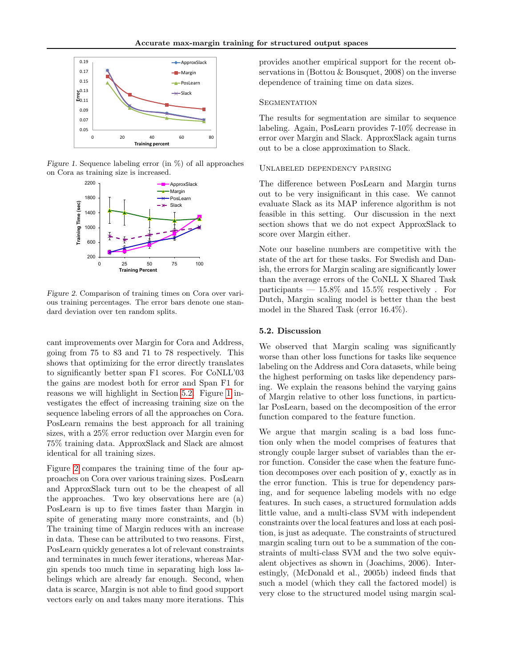

Figure 1. Sequence labeling error (in %) of all approaches on Cora as training size is increased.

<span id="page-6-1"></span>

<span id="page-6-2"></span>Figure 2. Comparison of training times on Cora over various training percentages. The error bars denote one standard deviation over ten random splits.

cant improvements over Margin for Cora and Address, going from 75 to 83 and 71 to 78 respectively. This shows that optimizing for the error directly translates to significantly better span F1 scores. For CoNLL'03 the gains are modest both for error and Span F1 for reasons we will highlight in Section [5.2.](#page-6-0) Figure [1](#page-6-1) investigates the effect of increasing training size on the sequence labeling errors of all the approaches on Cora. PosLearn remains the best approach for all training sizes, with a 25% error reduction over Margin even for 75% training data. ApproxSlack and Slack are almost identical for all training sizes.

Figure [2](#page-6-2) compares the training time of the four approaches on Cora over various training sizes. PosLearn and ApproxSlack turn out to be the cheapest of all the approaches. Two key observations here are (a) PosLearn is up to five times faster than Margin in spite of generating many more constraints, and (b) The training time of Margin reduces with an increase in data. These can be attributed to two reasons. First, PosLearn quickly generates a lot of relevant constraints and terminates in much fewer iterations, whereas Margin spends too much time in separating high loss labelings which are already far enough. Second, when data is scarce, Margin is not able to find good support vectors early on and takes many more iterations. This provides another empirical support for the recent observations in (Bottou & Bousquet, 2008) on the inverse dependence of training time on data sizes.

#### **SEGMENTATION**

The results for segmentation are similar to sequence labeling. Again, PosLearn provides 7-10% decrease in error over Margin and Slack. ApproxSlack again turns out to be a close approximation to Slack.

#### Unlabeled dependency parsing

The difference between PosLearn and Margin turns out to be very insignificant in this case. We cannot evaluate Slack as its MAP inference algorithm is not feasible in this setting. Our discussion in the next section shows that we do not expect ApproxSlack to score over Margin either.

Note our baseline numbers are competitive with the state of the art for these tasks. For Swedish and Danish, the errors for Margin scaling are significantly lower than the average errors of the CoNLL X Shared Task participants  $-15.8\%$  and 15.5% respectively. For Dutch, Margin scaling model is better than the best model in the Shared Task (error 16.4%).

#### <span id="page-6-0"></span>5.2. Discussion

We observed that Margin scaling was significantly worse than other loss functions for tasks like sequence labeling on the Address and Cora datasets, while being the highest performing on tasks like dependency parsing. We explain the reasons behind the varying gains of Margin relative to other loss functions, in particular PosLearn, based on the decomposition of the error function compared to the feature function.

We argue that margin scaling is a bad loss function only when the model comprises of features that strongly couple larger subset of variables than the error function. Consider the case when the feature function decomposes over each position of y, exactly as in the error function. This is true for dependency parsing, and for sequence labeling models with no edge features. In such cases, a structured formulation adds little value, and a multi-class SVM with independent constraints over the local features and loss at each position, is just as adequate. The constraints of structured margin scaling turn out to be a summation of the constraints of multi-class SVM and the two solve equivalent objectives as shown in (Joachims, 2006). Interestingly, (McDonald et al., 2005b) indeed finds that such a model (which they call the factored model) is very close to the structured model using margin scal